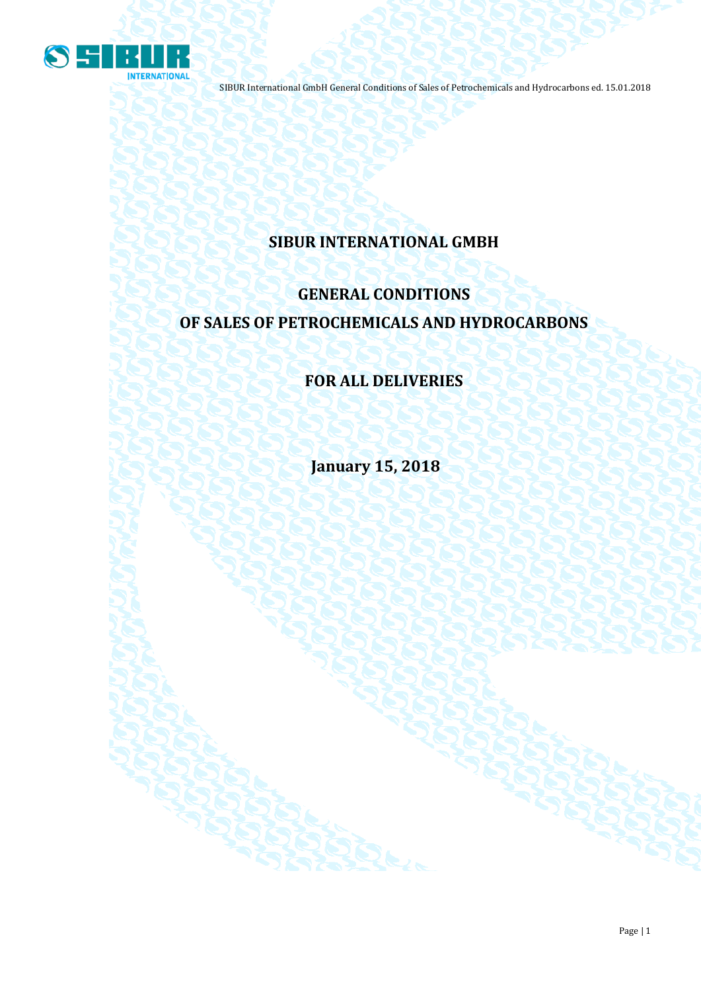

## **SIBUR INTERNATIONAL GMBH**

# **GENERAL CONDITIONS OF SALES OF PETROCHEMICALS AND HYDROCARBONS**

## **FOR ALL DELIVERIES**

**January 15, 2018**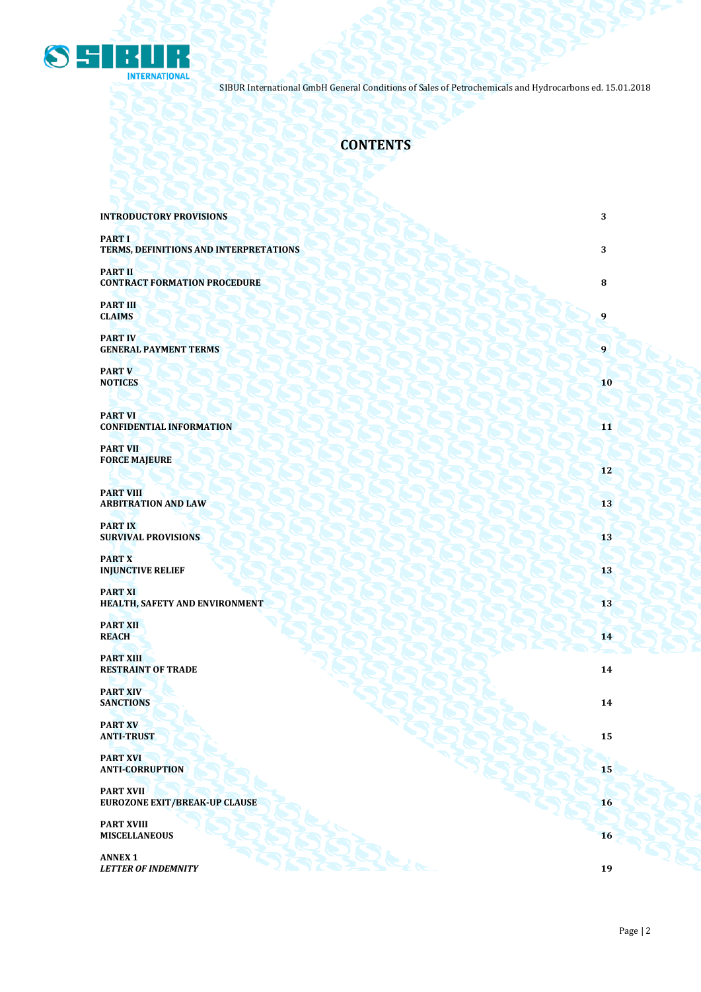

## **CONTENTS**

| <b>INTRODUCTORY PROVISIONS</b>                           | $\sqrt{3}$ |
|----------------------------------------------------------|------------|
| <b>PART I</b><br>TERMS, DEFINITIONS AND INTERPRETATIONS  | $\sqrt{3}$ |
| <b>PART II</b><br><b>CONTRACT FORMATION PROCEDURE</b>    | 8          |
| <b>PART III</b><br><b>CLAIMS</b>                         | 9          |
| <b>PART IV</b><br><b>GENERAL PAYMENT TERMS</b>           | 9          |
| <b>PART V</b><br><b>NOTICES</b>                          | 10         |
| <b>PART VI</b><br><b>CONFIDENTIAL INFORMATION</b>        | 11         |
| <b>PART VII</b><br><b>FORCE MAJEURE</b>                  | 12         |
| <b>PART VIII</b><br><b>ARBITRATION AND LAW</b>           | 13         |
| <b>PART IX</b><br><b>SURVIVAL PROVISIONS</b>             | 13         |
| <b>PART X</b><br><b>INJUNCTIVE RELIEF</b>                | 13         |
| <b>PART XI</b><br>HEALTH, SAFETY AND ENVIRONMENT         | 13         |
| <b>PART XII</b><br><b>REACH</b>                          | 14         |
| <b>PART XIII</b><br><b>RESTRAINT OF TRADE</b>            | 14         |
| <b>PART XIV</b><br><b>SANCTIONS</b>                      | 14         |
| <b>PART XV</b><br><b>ANTI-TRUST</b>                      | 15         |
| <b>PART XVI</b><br><b>ANTI-CORRUPTION</b>                | 15         |
| <b>PART XVII</b><br><b>EUROZONE EXIT/BREAK-UP CLAUSE</b> | 16         |
| <b>PART XVIII</b><br><b>MISCELLANEOUS</b>                | 16         |
| <b>ANNEX 1</b><br><b>LETTER OF INDEMNITY</b>             | 19         |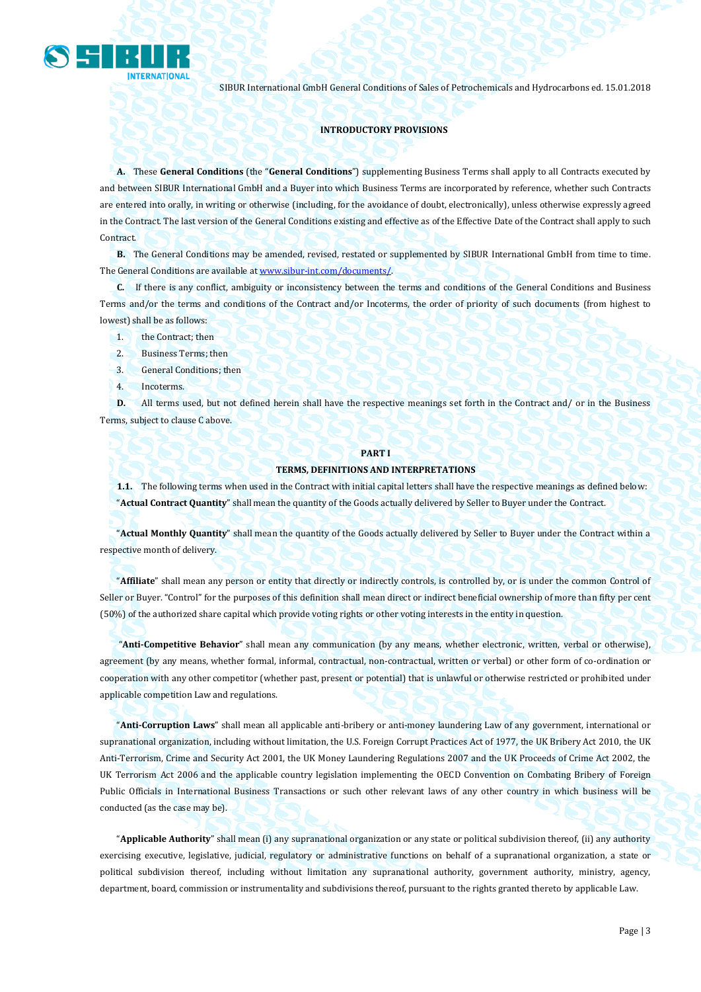

#### **INTRODUCTORY PROVISIONS**

**A.** These **General Conditions** (the "**General Conditions**") supplementing Business Terms shall apply to all Contracts executed by and between SIBUR International GmbH and a Buyer into which Business Terms are incorporated by reference, whether such Contracts are entered into orally, in writing or otherwise (including, for the avoidance of doubt, electronically), unless otherwise expressly agreed in the Contract. The last version of the General Conditions existing and effective as of the Effective Date of the Contract shall apply to such Contract.

**B.** The General Conditions may be amended, revised, restated or supplemented by SIBUR International GmbH from time to time. The General Conditions are available a[t www.sibur-int.com/](http://www.sibur-int.com/)documents/.

**C.** If there is any conflict, ambiguity or inconsistency between the terms and conditions of the General Conditions and Business Terms and/or the terms and conditions of the Contract and/or Incoterms, the order of priority of such documents (from highest to lowest) shall be as follows:

- 1. the Contract; then
- 2. Business Terms; then
- 3. General Conditions; then
- 4. Incoterms.

**D.** All terms used, but not defined herein shall have the respective meanings set forth in the Contract and/ or in the Business Terms, subject to clause C above.

#### **PART I**

#### **TERMS, DEFINITIONS AND INTERPRETATIONS**

**1.1.** The following terms when used in the Contract with initial capital letters shall have the respective meanings as defined below: "**Actual Contract Quantity**" shall mean the quantity of the Goods actually delivered by Seller to Buyer under the Contract.

"**Actual Monthly Quantity**" shall mean the quantity of the Goods actually delivered by Seller to Buyer under the Contract within a respective month of delivery.

"**Affiliate**" shall mean any person or entity that directly or indirectly controls, is controlled by, or is under the common Control of Seller or Buyer. "Control" for the purposes of this definition shall mean direct or indirect beneficial ownership of more than fifty per cent (50%) of the authorized share capital which provide voting rights or other voting interests in the entity in question.

"**Anti-Competitive Behavior**" shall mean any communication (by any means, whether electronic, written, verbal or otherwise), agreement (by any means, whether formal, informal, contractual, non-contractual, written or verbal) or other form of co-ordination or cooperation with any other competitor (whether past, present or potential) that is unlawful or otherwise restricted or prohibited under applicable competition Law and regulations.

"**Anti-Corruption Laws**" shall mean all applicable anti-bribery or anti-money laundering Law of any government, international or supranational organization, including without limitation, the U.S. Foreign Corrupt Practices Act of 1977, the UK Bribery Act 2010, the UK Anti-Terrorism, Crime and Security Act 2001, the UK Money Laundering Regulations 2007 and the UK Proceeds of Crime Act 2002, the UK Terrorism Act 2006 and the applicable country legislation implementing the OECD Convention on Combating Bribery of Foreign Public Officials in International Business Transactions or such other relevant laws of any other country in which business will be conducted (as the case may be).

"**Applicable Authority**" shall mean (i) any supranational organization or any state or political subdivision thereof, (ii) any authority exercising executive, legislative, judicial, regulatory or administrative functions on behalf of a supranational organization, a state or political subdivision thereof, including without limitation any supranational authority, government authority, ministry, agency, department, board, commission or instrumentality and subdivisions thereof, pursuant to the rights granted thereto by applicable Law.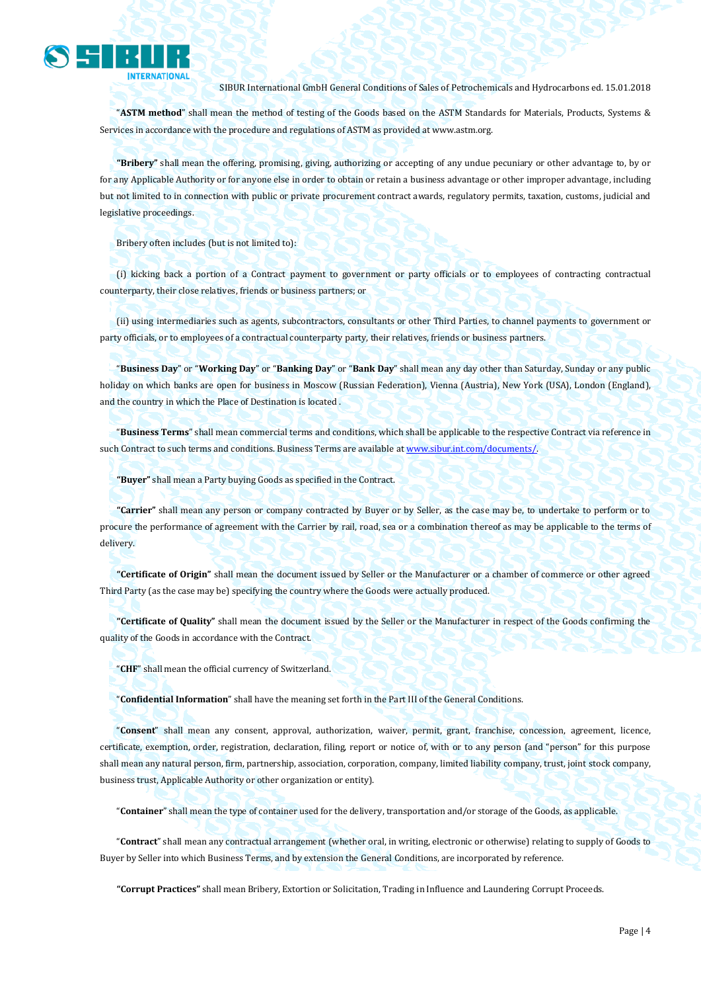

"**ASTM method**" shall mean the method of testing of the Goods based on the ASTM Standards for Materials, Products, Systems & Services in accordance with the procedure and regulations of ASTM as provided a[t www.astm.org.](http://www.astm.org/)

**"Bribery"** shall mean the offering, promising, giving, authorizing or accepting of any undue pecuniary or other advantage to, by or for any Applicable Authority or for anyone else in order to obtain or retain a business advantage or other improper advantage, including but not limited to in connection with public or private procurement contract awards, regulatory permits, taxation, customs, judicial and legislative proceedings.

Bribery often includes (but is not limited to):

(i) kicking back a portion of a Contract payment to government or party officials or to employees of contracting contractual counterparty, their close relatives, friends or business partners; or

(ii) using intermediaries such as agents, subcontractors, consultants or other Third Parties, to channel payments to government or party officials, or to employees of a contractual counterparty party, their relatives, friends or business partners.

"**Business Day**" or "**Working Day**" or "**Banking Day**" or "**Bank Day**" shall mean any day other than Saturday, Sunday or any public holiday on which banks are open for business in Moscow (Russian Federation), Vienna (Austria), New York (USA), London (England), and the country in which the Place of Destination is located .

"**Business Terms**" shall mean commercial terms and conditions, which shall be applicable to the respective Contract via reference in such Contract to such terms and conditions. Business Terms are available a[t www.sibur.int.com/documents/.](http://www.sibur.int.com/documents/)

**"Buyer"** shall mean a Party buying Goods as specified in the Contract.

**"Carrier"** shall mean any person or company contracted by Buyer or by Seller, as the case may be, to undertake to perform or to procure the performance of agreement with the Carrier by rail, road, sea or a combination thereof as may be applicable to the terms of delivery.

**"Certificate of Origin"** shall mean the document issued by Seller or the Manufacturer or a chamber of commerce or other agreed Third Party (as the case may be) specifying the country where the Goods were actually produced.

**"Certificate of Quality"** shall mean the document issued by the Seller or the Manufacturer in respect of the Goods confirming the quality of the Goods in accordance with the Contract.

"**CHF**" shall mean the official currency of Switzerland.

"**Confidential Information**" shall have the meaning set forth in the Part III of the General Conditions.

"**Consent**" shall mean any consent, approval, authorization, waiver, permit, grant, franchise, concession, agreement, licence, certificate, exemption, order, registration, declaration, filing, report or notice of, with or to any person (and "person" for this purpose shall mean any natural person, firm, partnership, association, corporation, company, limited liability company, trust, joint stock company, business trust, Applicable Authority or other organization or entity).

"**Container**" shall mean the type of container used for the delivery, transportation and/or storage of the Goods, as applicable.

"**Contract**" shall mean any contractual arrangement (whether oral, in writing, electronic or otherwise) relating to supply of Goods to Buyer by Seller into which Business Terms, and by extension the General Conditions, are incorporated by reference.

**"Corrupt Practices"** shall mean Bribery, Extortion or Solicitation, Trading in Influence and Laundering Corrupt Proceeds.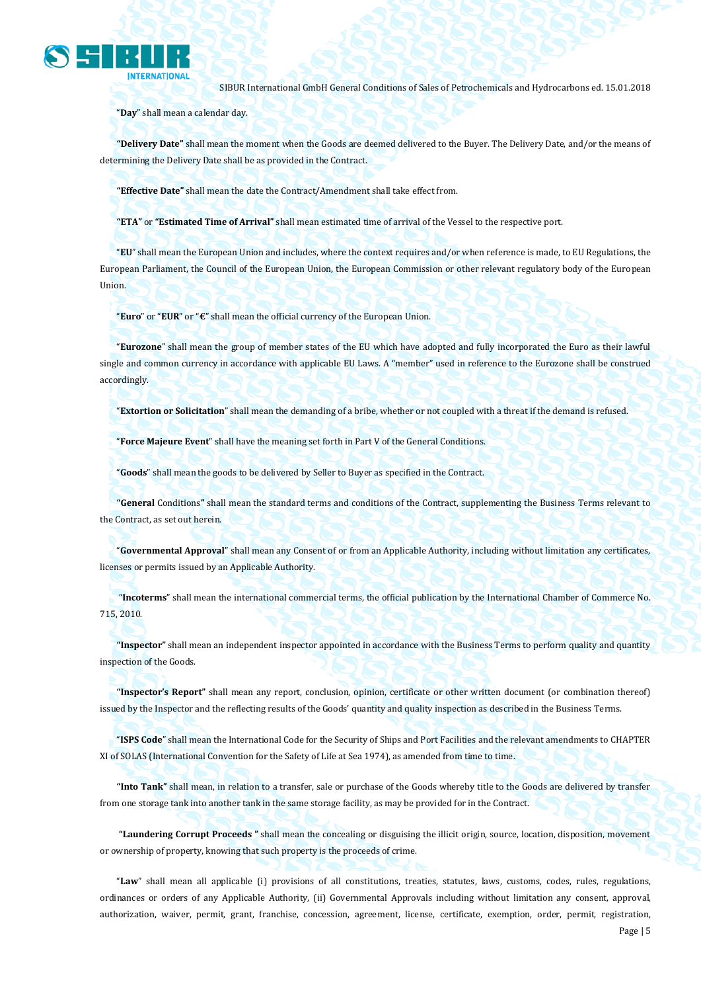

"**Day**" shall mean a calendar day.

**"Delivery Date"** shall mean the moment when the Goods are deemed delivered to the Buyer. The Delivery Date, and/or the means of determining the Delivery Date shall be as provided in the Contract.

**"Effective Date"** shall mean the date the Contract/Amendment shall take effect from.

**"ETA"** or **"Estimated Time of Arrival"** shall mean estimated time of arrival of the Vessel to the respective port.

"**EU**" shall mean the European Union and includes, where the context requires and/or when reference is made, to EU Regulations, the European Parliament, the Council of the European Union, the European Commission or other relevant regulatory body of the European Union.

"**Euro**" or "**EUR**" or "**€**" shall mean the official currency of the European Union.

"**Eurozone**" shall mean the group of member states of the EU which have adopted and fully incorporated the Euro as their lawful single and common currency in accordance with applicable EU Laws. A "member" used in reference to the Eurozone shall be construed accordingly.

"**Extortion or Solicitation**" shall mean the demanding of a bribe, whether or not coupled with a threat if the demand is refused.

"**Force Majeure Event**" shall have the meaning set forth in Part V of the General Conditions.

"**Goods**" shall mean the goods to be delivered by Seller to Buyer as specified in the Contract.

**"General** Conditions**"** shall mean the standard terms and conditions of the Contract, supplementing the Business Terms relevant to the Contract, as set out herein.

"**Governmental Approval**" shall mean any Consent of or from an Applicable Authority, including without limitation any certificates, licenses or permits issued by an Applicable Authority.

"**Incoterms**" shall mean the international commercial terms, the official publication by the International Chamber of Commerce No. 715, 2010.

**"Inspector"** shall mean an independent inspector appointed in accordance with the Business Terms to perform quality and quantity inspection of the Goods.

**"Inspector's Report"** shall mean any report, conclusion, opinion, certificate or other written document (or combination thereof) issued by the Inspector and the reflecting results of the Goods' quantity and quality inspection as described in the Business Terms.

"**ISPS Code**" shall mean the International Code for the Security of Ships and Port Facilities and the relevant amendments to CHAPTER XI of SOLAS (International Convention for the Safety of Life at Sea 1974), as amended from time to time.

**"Into Tank"** shall mean, in relation to a transfer, sale or purchase of the Goods whereby title to the Goods are delivered by transfer from one storage tank into another tank in the same storage facility, as may be provided for in the Contract.

**"Laundering Corrupt Proceeds "** shall mean the concealing or disguising the illicit origin, source, location, disposition, movement or ownership of property, knowing that such property is the proceeds of crime.

"**Law**" shall mean all applicable (i) provisions of all constitutions, treaties, statutes, laws, customs, codes, rules, regulations, ordinances or orders of any Applicable Authority, (ii) Governmental Approvals including without limitation any consent, approval, authorization, waiver, permit, grant, franchise, concession, agreement, license, certificate, exemption, order, permit, registration,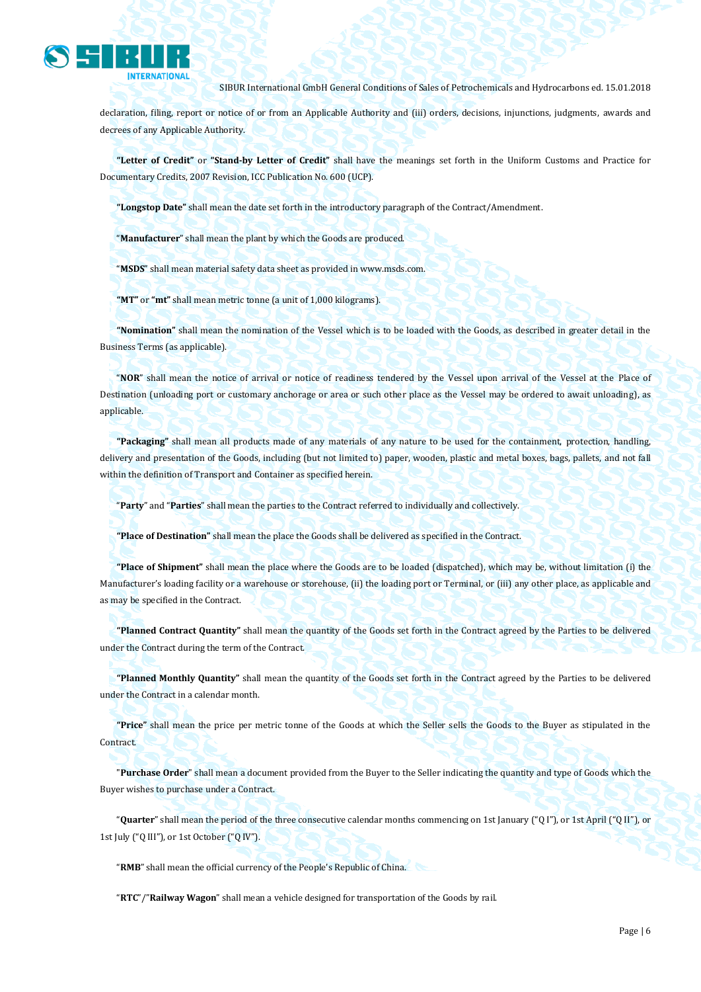

declaration, filing, report or notice of or from an Applicable Authority and (iii) orders, decisions, injunctions, judgments, awards and decrees of any Applicable Authority.

**"Letter of Credit"** or **"Stand-by Letter of Credit"** shall have the meanings set forth in the Uniform Customs and Practice for Documentary Credits, 2007 Revision, ICC Publication No. 600 (UCP).

**"Longstop Date"** shall mean the date set forth in the introductory paragraph of the Contract/Amendment.

"**Manufacturer**" shall mean the plant by which the Goods are produced.

"**MSDS**" shall mean material safety data sheet as provided in www.msds.com.

**"MT"** or **"mt"** shall mean metric tonne (a unit of 1,000 kilograms).

**"Nomination"** shall mean the nomination of the Vessel which is to be loaded with the Goods, as described in greater detail in the Business Terms (as applicable).

"**NOR**" shall mean the notice of arrival or notice of readiness tendered by the Vessel upon arrival of the Vessel at the Place of Destination (unloading port or customary anchorage or area or such other place as the Vessel may be ordered to await unloading), as applicable.

**"Packaging"** shall mean all products made of any materials of any nature to be used for the containment, protection, handling, delivery and presentation of the Goods, including (but not limited to) paper, wooden, plastic and metal boxes, bags, pallets, and not fall within the definition of Transport and Container as specified herein.

"**Party**" and "**Parties**" shall mean the parties to the Contract referred to individually and collectively.

**"Place of Destination"** shall mean the place the Goods shall be delivered as specified in the Contract.

**"Place of Shipment"** shall mean the place where the Goods are to be loaded (dispatched), which may be, without limitation (i) the Manufacturer's loading facility or a warehouse or storehouse, (ii) the loading port or Terminal, or (iii) any other place, as applicable and as may be specified in the Contract.

**"Planned Contract Quantity"** shall mean the quantity of the Goods set forth in the Contract agreed by the Parties to be delivered under the Contract during the term of the Contract.

**"Planned Monthly Quantity"** shall mean the quantity of the Goods set forth in the Contract agreed by the Parties to be delivered under the Contract in a calendar month.

**"Price"** shall mean the price per metric tonne of the Goods at which the Seller sells the Goods to the Buyer as stipulated in the Contract.

"**Purchase Order**" shall mean a document provided from the Buyer to the Seller indicating the quantity and type of Goods which the Buyer wishes to purchase under a Contract.

"**Quarter**" shall mean the period of the three consecutive calendar months commencing on 1st January ("Q I"), or 1st April ("Q II"), or 1st July ("Q III"), or 1st October ("Q IV").

"**RMB**" shall mean the official currency of the People's Republic of China.

"**RTC**"/"**Railway Wagon**" shall mean a vehicle designed for transportation of the Goods by rail.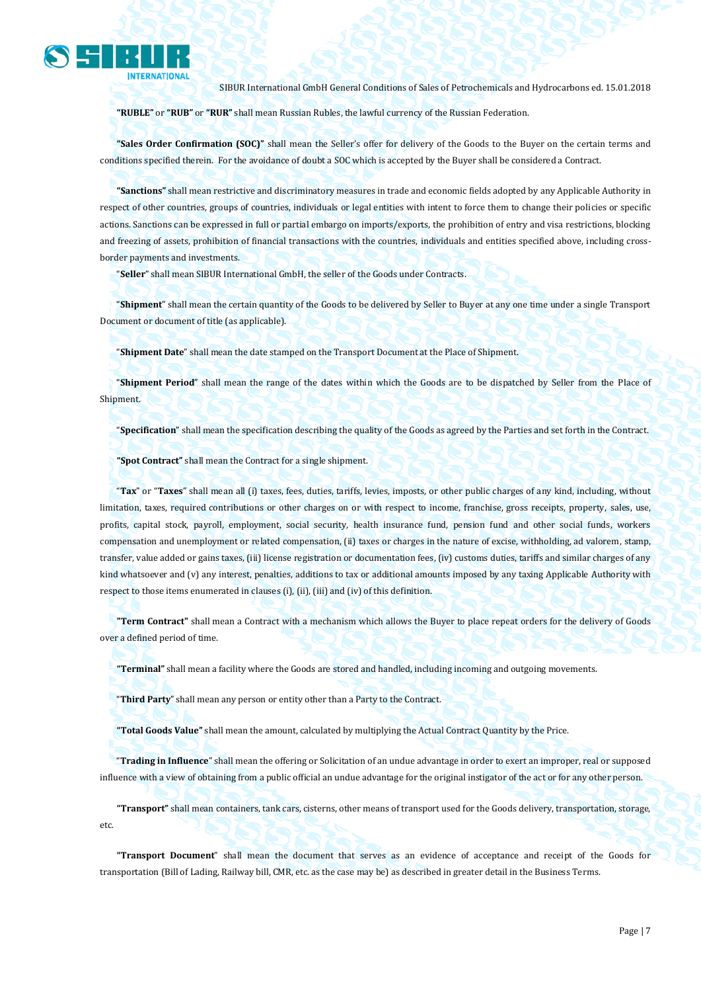

**"RUBLE"** or **"RUB"** or **"RUR"** shall mean Russian Rubles, the lawful currency of the Russian Federation.

**"Sales Order Confirmation (SOC)"** shall mean the Seller's offer for delivery of the Goods to the Buyer on the certain terms and conditions specified therein. For the avoidance of doubt a SOC which is accepted by the Buyer shall be considered a Contract.

**"Sanctions"** shall mean restrictive and discriminatory measures in trade and economic fields adopted by any Applicable Authority in respect of other countries, groups of countries, individuals or legal entities with intent to force them to change their policies or specific actions. Sanctions can be expressed in full or partial embargo on imports/exports, the prohibition of entry and visa restrictions, blocking and freezing of assets, prohibition of financial transactions with the countries, individuals and entities specified above, including crossborder payments and investments.

"**Seller**" shall mean SIBUR International GmbH, the seller of the Goods under Contracts.

"**Shipment**" shall mean the certain quantity of the Goods to be delivered by Seller to Buyer at any one time under a single Transport Document or document of title (as applicable).

"**Shipment Date**" shall mean the date stamped on the Transport Document at the Place of Shipment.

"**Shipment Period**" shall mean the range of the dates within which the Goods are to be dispatched by Seller from the Place of Shipment.

"**Specification**" shall mean the specification describing the quality of the Goods as agreed by the Parties and set forth in the Contract.

**"Spot Contract"** shall mean the Contract for a single shipment.

"**Tax**" or "**Taxes**" shall mean all (i) taxes, fees, duties, tariffs, levies, imposts, or other public charges of any kind, including, without limitation, taxes, required contributions or other charges on or with respect to income, franchise, gross receipts, property, sales, use, profits, capital stock, payroll, employment, social security, health insurance fund, pension fund and other social funds, workers compensation and unemployment or related compensation, (ii) taxes or charges in the nature of excise, withholding, ad valorem, stamp, transfer, value added or gains taxes, (iii) license registration or documentation fees, (iv) customs duties, tariffs and similar charges of any kind whatsoever and (v) any interest, penalties, additions to tax or additional amounts imposed by any taxing Applicable Authority with respect to those items enumerated in clauses (i), (ii), (iii) and (iv) of this definition.

**"Term Contract"** shall mean a Contract with a mechanism which allows the Buyer to place repeat orders for the delivery of Goods over a defined period of time.

**"Terminal"** shall mean a facility where the Goods are stored and handled, including incoming and outgoing movements.

"**Third Party**" shall mean any person or entity other than a Party to the Contract.

**"Total Goods Value"** shall mean the amount, calculated by multiplying the Actual Contract Quantity by the Price.

"**Trading in Influence**" shall mean the offering or Solicitation of an undue advantage in order to exert an improper, real or supposed influence with a view of obtaining from a public official an undue advantage for the original instigator of the act or for any other person.

**"Transport"** shall mean containers, tank cars, cisterns, other means of transport used for the Goods delivery, transportation, storage, etc.

**"Transport Document**" shall mean the document that serves as an evidence of acceptance and receipt of the Goods for transportation (Bill of Lading, Railway bill, CMR, etc. as the case may be) as described in greater detail in the Business Terms.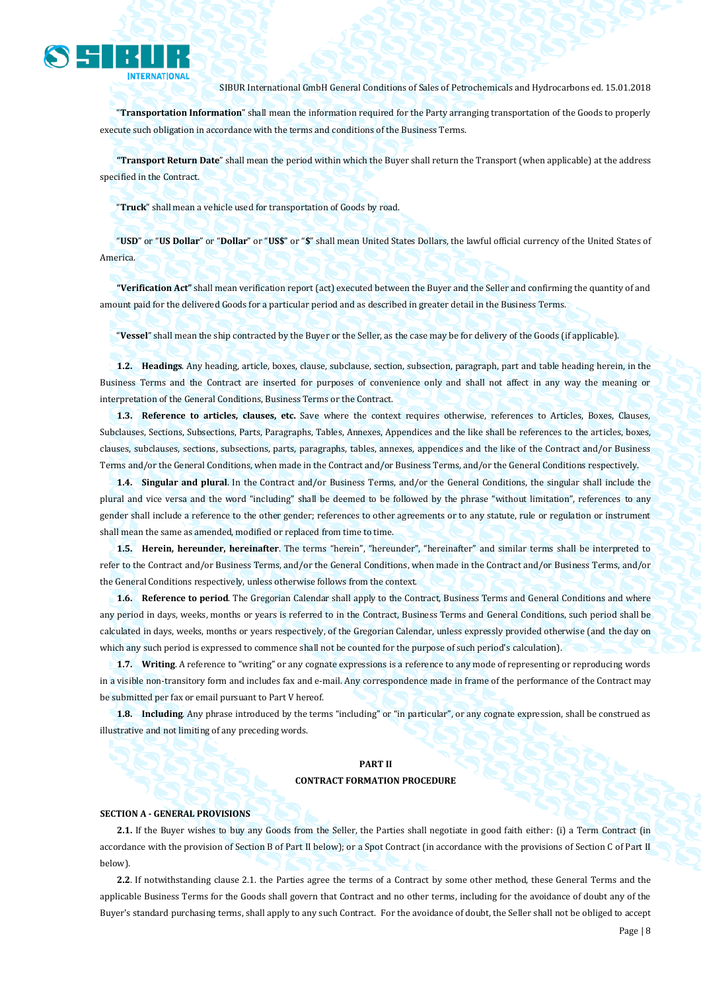

"**Transportation Information**" shall mean the information required for the Party arranging transportation of the Goods to properly execute such obligation in accordance with the terms and conditions of the Business Terms.

**"Transport Return Date**" shall mean the period within which the Buyer shall return the Transport (when applicable) at the address specified in the Contract.

"**Truck**" shall mean a vehicle used for transportation of Goods by road.

"**USD**" or "**US Dollar**" or "**Dollar**" or "**US\$**" or "**\$**" shall mean United States Dollars, the lawful official currency of the United States of America.

**"Verification Act"** shall mean verification report (act) executed between the Buyer and the Seller and confirming the quantity of and amount paid for the delivered Goods for a particular period and as described in greater detail in the Business Terms.

"**Vessel**" shall mean the ship contracted by the Buyer or the Seller, as the case may be for delivery of the Goods (if applicable).

**1.2. Headings**. Any heading, article, boxes, clause, subclause, section, subsection, paragraph, part and table heading herein, in the Business Terms and the Contract are inserted for purposes of convenience only and shall not affect in any way the meaning or interpretation of the General Conditions, Business Terms or the Contract.

**1.3. Reference to articles, clauses, etc.** Save where the context requires otherwise, references to Articles, Boxes, Clauses, Subclauses, Sections, Subsections, Parts, Paragraphs, Tables, Annexes, Appendices and the like shall be references to the articles, boxes, clauses, subclauses, sections, subsections, parts, paragraphs, tables, annexes, appendices and the like of the Contract and/or Business Terms and/or the General Conditions, when made in the Contract and/or Business Terms, and/or the General Conditions respectively.

**1.4. Singular and plural**. In the Contract and/or Business Terms, and/or the General Conditions, the singular shall include the plural and vice versa and the word "including" shall be deemed to be followed by the phrase "without limitation", references to any gender shall include a reference to the other gender; references to other agreements or to any statute, rule or regulation or instrument shall mean the same as amended, modified or replaced from time to time.

**1.5. Herein, hereunder, hereinafter**. The terms "herein", "hereunder", "hereinafter" and similar terms shall be interpreted to refer to the Contract and/or Business Terms, and/or the General Conditions, when made in the Contract and/or Business Terms, and/or the General Conditions respectively, unless otherwise follows from the context.

**1.6. Reference to period**. The Gregorian Calendar shall apply to the Contract, Business Terms and General Conditions and where any period in days, weeks, months or years is referred to in the Contract, Business Terms and General Conditions, such period shall be calculated in days, weeks, months or years respectively, of the Gregorian Calendar, unless expressly provided otherwise (and the day on which any such period is expressed to commence shall not be counted for the purpose of such period's calculation).

**1.7. Writing**. A reference to "writing" or any cognate expressions is a reference to any mode of representing or reproducing words in a visible non-transitory form and includes fax and e-mail. Any correspondence made in frame of the performance of the Contract may be submitted per fax or email pursuant to Part V hereof.

**1.8. Including**. Any phrase introduced by the terms "including" or "in particular", or any cognate expression, shall be construed as illustrative and not limiting of any preceding words.

#### **PART II CONTRACT FORMATION PROCEDURE**

#### **SECTION A - GENERAL PROVISIONS**

**2.1.** If the Buyer wishes to buy any Goods from the Seller, the Parties shall negotiate in good faith either: (i) a Term Contract (in accordance with the provision of Section B of Part II below); or a Spot Contract (in accordance with the provisions of Section C of Part II below).

**2.2**. If notwithstanding clause 2.1. the Parties agree the terms of a Contract by some other method, these General Terms and the applicable Business Terms for the Goods shall govern that Contract and no other terms, including for the avoidance of doubt any of the Buyer's standard purchasing terms, shall apply to any such Contract. For the avoidance of doubt, the Seller shall not be obliged to accept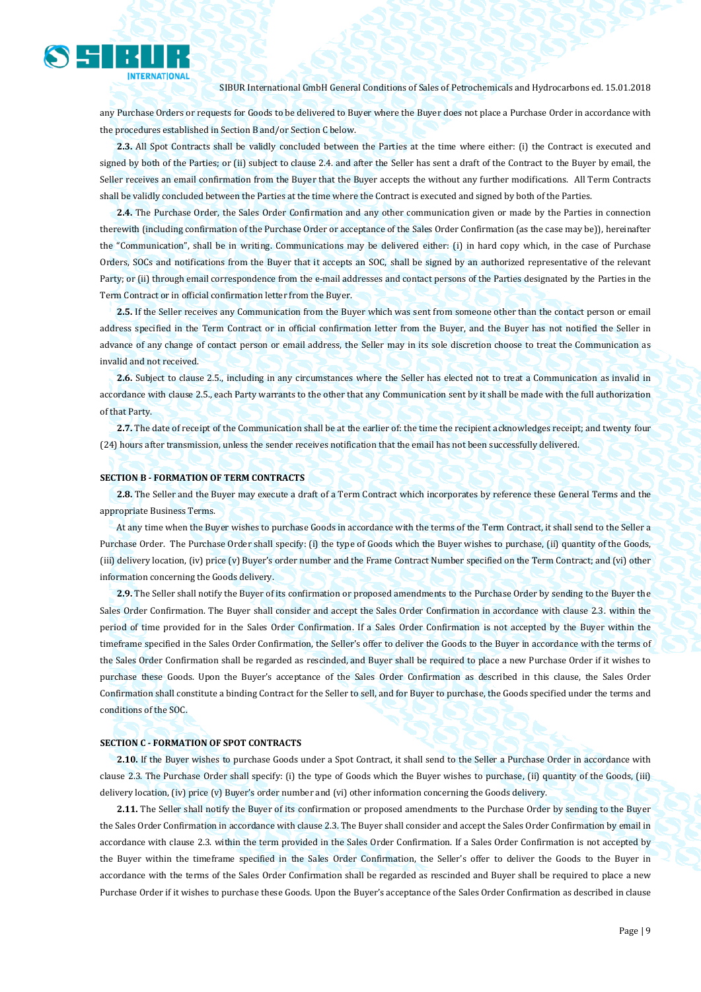

any Purchase Orders or requests for Goods to be delivered to Buyer where the Buyer does not place a Purchase Order in accordance with the procedures established in Section B and/or Section C below.

**2.3.** All Spot Contracts shall be validly concluded between the Parties at the time where either: (i) the Contract is executed and signed by both of the Parties; or (ii) subject to clause 2.4. and after the Seller has sent a draft of the Contract to the Buyer by email, the Seller receives an email confirmation from the Buyer that the Buyer accepts the without any further modifications. All Term Contracts shall be validly concluded between the Parties at the time where the Contract is executed and signed by both of the Parties.

**2.4.** The Purchase Order, the Sales Order Confirmation and any other communication given or made by the Parties in connection therewith (including confirmation of the Purchase Order or acceptance of the Sales Order Confirmation (as the case may be)), hereinafter the "Communication", shall be in writing. Communications may be delivered either: (i) in hard copy which, in the case of Purchase Orders, SOCs and notifications from the Buyer that it accepts an SOC, shall be signed by an authorized representative of the relevant Party; or (ii) through email correspondence from the e-mail addresses and contact persons of the Parties designated by the Parties in the Term Contract or in official confirmation letter from the Buyer.

**2.5.** If the Seller receives any Communication from the Buyer which was sent from someone other than the contact person or email address specified in the Term Contract or in official confirmation letter from the Buyer, and the Buyer has not notified the Seller in advance of any change of contact person or email address, the Seller may in its sole discretion choose to treat the Communication as invalid and not received.

**2.6.** Subject to clause 2.5., including in any circumstances where the Seller has elected not to treat a Communication as invalid in accordance with clause 2.5., each Party warrants to the other that any Communication sent by it shall be made with the full authorization of that Party.

**2.7.** The date of receipt of the Communication shall be at the earlier of: the time the recipient acknowledges receipt; and twenty four (24) hours after transmission, unless the sender receives notification that the email has not been successfully delivered.

#### **SECTION B - FORMATION OF TERM CONTRACTS**

**2.8.** The Seller and the Buyer may execute a draft of a Term Contract which incorporates by reference these General Terms and the appropriate Business Terms.

At any time when the Buyer wishes to purchase Goods in accordance with the terms of the Term Contract, it shall send to the Seller a Purchase Order. The Purchase Order shall specify: (i) the type of Goods which the Buyer wishes to purchase, (ii) quantity of the Goods, (iii) delivery location, (iv) price (v) Buyer's order number and the Frame Contract Number specified on the Term Contract; and (vi) other information concerning the Goods delivery.

**2.9.** The Seller shall notify the Buyer of its confirmation or proposed amendments to the Purchase Order by sending to the Buyer the Sales Order Confirmation. The Buyer shall consider and accept the Sales Order Confirmation in accordance with clause 2.3. within the period of time provided for in the Sales Order Confirmation. If a Sales Order Confirmation is not accepted by the Buyer within the timeframe specified in the Sales Order Confirmation, the Seller's offer to deliver the Goods to the Buyer in accordance with the terms of the Sales Order Confirmation shall be regarded as rescinded, and Buyer shall be required to place a new Purchase Order if it wishes to purchase these Goods. Upon the Buyer's acceptance of the Sales Order Confirmation as described in this clause, the Sales Order Confirmation shall constitute a binding Contract for the Seller to sell, and for Buyer to purchase, the Goods specified under the terms and conditions of the SOC.

#### **SECTION C - FORMATION OF SPOT CONTRACTS**

**2.10.** If the Buyer wishes to purchase Goods under a Spot Contract, it shall send to the Seller a Purchase Order in accordance with clause 2.3. The Purchase Order shall specify: (i) the type of Goods which the Buyer wishes to purchase, (ii) quantity of the Goods, (iii) delivery location, (iv) price (v) Buyer's order number and (vi) other information concerning the Goods delivery

**2.11.** The Seller shall notify the Buyer of its confirmation or proposed amendments to the Purchase Order by sending to the Buyer the Sales Order Confirmation in accordance with clause 2.3. The Buyer shall consider and accept the Sales Order Confirmation by email in accordance with clause 2.3. within the term provided in the Sales Order Confirmation. If a Sales Order Confirmation is not accepted by the Buyer within the timeframe specified in the Sales Order Confirmation, the Seller's offer to deliver the Goods to the Buyer in accordance with the terms of the Sales Order Confirmation shall be regarded as rescinded and Buyer shall be required to place a new Purchase Order if it wishes to purchase these Goods. Upon the Buyer's acceptance of the Sales Order Confirmation as described in clause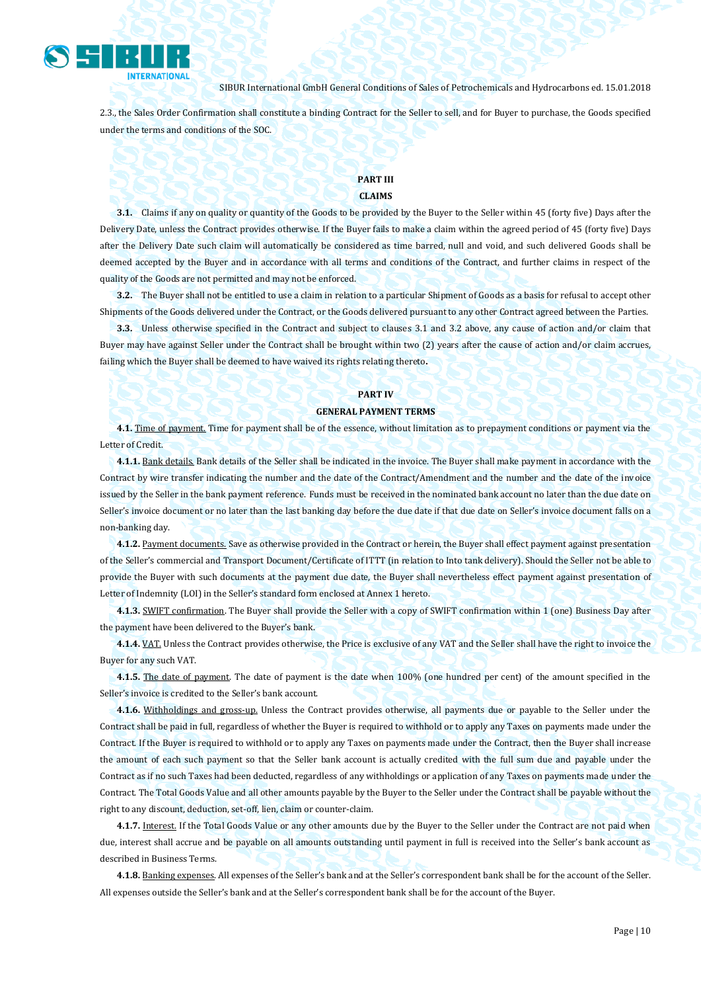

2.3., the Sales Order Confirmation shall constitute a binding Contract for the Seller to sell, and for Buyer to purchase, the Goods specified under the terms and conditions of the SOC.

### **PART III CLAIMS**

**3.1.** Claims if any on quality or quantity of the Goods to be provided by the Buyer to the Seller within 45 (forty five) Days after the Delivery Date, unless the Contract provides otherwise. If the Buyer fails to make a claim within the agreed period of 45 (forty five) Days after the Delivery Date such claim will automatically be considered as time barred, null and void, and such delivered Goods shall be deemed accepted by the Buyer and in accordance with all terms and conditions of the Contract, and further claims in respect of the quality of the Goods are not permitted and may not be enforced.

**3.2.** The Buyer shall not be entitled to use a claim in relation to a particular Shipment of Goods as a basis for refusal to accept other Shipments of the Goods delivered under the Contract, or the Goods delivered pursuant to any other Contract agreed between the Parties.

**3.3.** Unless otherwise specified in the Contract and subject to clauses 3.1 and 3.2 above, any cause of action and/or claim that Buyer may have against Seller under the Contract shall be brought within two (2) years after the cause of action and/or claim accrues, failing which the Buyer shall be deemed to have waived its rights relating thereto**.**

#### **PART IV**

#### **GENERAL PAYMENT TERMS**

**4.1.** Time of payment. Time for payment shall be of the essence, without limitation as to prepayment conditions or payment via the Letter of Credit.

**4.1.1.** Bank details. Bank details of the Seller shall be indicated in the invoice. The Buyer shall make payment in accordance with the Contract by wire transfer indicating the number and the date of the Contract/Amendment and the number and the date of the invoice issued by the Seller in the bank payment reference. Funds must be received in the nominated bank account no later than the due date on Seller's invoice document or no later than the last banking day before the due date if that due date on Seller's invoice document falls on a non-banking day.

**4.1.2.** Payment documents. Save as otherwise provided in the Contract or herein, the Buyer shall effect payment against presentation of the Seller's commercial and Transport Document/Certificate of ITTT (in relation to Into tank delivery). Should the Seller not be able to provide the Buyer with such documents at the payment due date, the Buyer shall nevertheless effect payment against presentation of Letter of Indemnity (LOI) in the Seller's standard form enclosed at Annex 1 hereto.

**4.1.3.** SWIFT confirmation. The Buyer shall provide the Seller with a copy of SWIFT confirmation within 1 (one) Business Day after the payment have been delivered to the Buyer's bank.

**4.1.4.** VAT. Unless the Contract provides otherwise, the Price is exclusive of any VAT and the Seller shall have the right to invoice the Buyer for any such VAT.

**4.1.5.** The date of payment. The date of payment is the date when 100% (one hundred per cent) of the amount specified in the Seller's invoice is credited to the Seller's bank account.

**4.1.6.** Withholdings and gross-up. Unless the Contract provides otherwise, all payments due or payable to the Seller under the Contract shall be paid in full, regardless of whether the Buyer is required to withhold or to apply any Taxes on payments made under the Contract. If the Buyer is required to withhold or to apply any Taxes on payments made under the Contract, then the Buyer shall increase the amount of each such payment so that the Seller bank account is actually credited with the full sum due and payable under the Contract as if no such Taxes had been deducted, regardless of any withholdings or application of any Taxes on payments made under the Contract. The Total Goods Value and all other amounts payable by the Buyer to the Seller under the Contract shall be payable without the right to any discount, deduction, set-off, lien, claim or counter-claim.

**4.1.7.** Interest. If the Total Goods Value or any other amounts due by the Buyer to the Seller under the Contract are not paid when due, interest shall accrue and be payable on all amounts outstanding until payment in full is received into the Seller's bank account as described in Business Terms.

**4.1.8.** Banking expenses. All expenses of the Seller's bank and at the Seller's correspondent bank shall be for the account of the Seller. All expenses outside the Seller's bank and at the Seller's correspondent bank shall be for the account of the Buyer.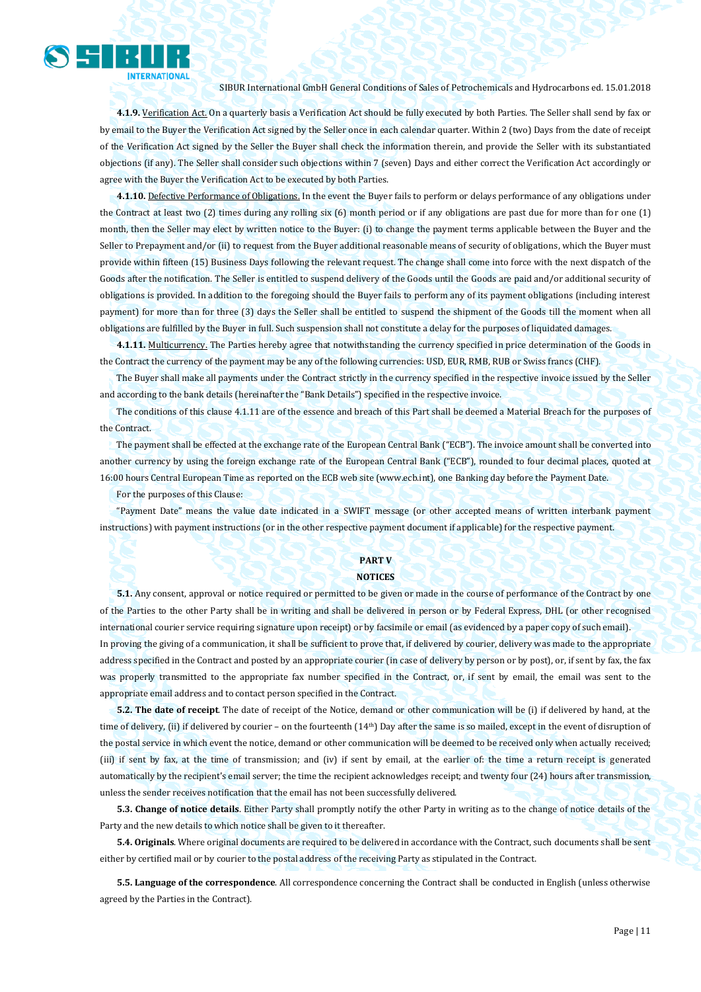

**4.1.9.** Verification Act. On a quarterly basis a Verification Act should be fully executed by both Parties. The Seller shall send by fax or by email to the Buyer the Verification Act signed by the Seller once in each calendar quarter. Within 2 (two) Days from the date of receipt of the Verification Act signed by the Seller the Buyer shall check the information therein, and provide the Seller with its substantiated objections (if any). The Seller shall consider such objections within 7 (seven) Days and either correct the Verification Act accordingly or agree with the Buyer the Verification Act to be executed by both Parties.

**4.1.10.** Defective Performance of Obligations. In the event the Buyer fails to perform or delays performance of any obligations under the Contract at least two (2) times during any rolling six (6) month period or if any obligations are past due for more than for one (1) month, then the Seller may elect by written notice to the Buyer: (i) to change the payment terms applicable between the Buyer and the Seller to Prepayment and/or (ii) to request from the Buyer additional reasonable means of security of obligations, which the Buyer must provide within fifteen (15) Business Days following the relevant request. The change shall come into force with the next dispatch of the Goods after the notification. The Seller is entitled to suspend delivery of the Goods until the Goods are paid and/or additional security of obligations is provided. In addition to the foregoing should the Buyer fails to perform any of its payment obligations (including interest payment) for more than for three (3) days the Seller shall be entitled to suspend the shipment of the Goods till the moment when all obligations are fulfilled by the Buyer in full. Such suspension shall not constitute a delay for the purposes of liquidated damages.

**4.1.11.** Multicurrency. The Parties hereby agree that notwithstanding the currency specified in price determination of the Goods in the Contract the currency of the payment may be any of the following currencies: USD, EUR, RMB, RUB or Swiss francs (CHF).

The Buyer shall make all payments under the Contract strictly in the currency specified in the respective invoice issued by the Seller and according to the bank details (hereinafter the "Bank Details") specified in the respective invoice.

The conditions of this clause 4.1.11 are of the essence and breach of this Part shall be deemed a Material Breach for the purposes of the Contract.

The payment shall be effected at the exchange rate of the European Central Bank ("ECB"). The invoice amount shall be converted into another currency by using the foreign exchange rate of the European Central Bank ("ECB"), rounded to four decimal places, quoted at 16:00 hours Central European Time as reported on the ECB web site (www.ecb.int), one Banking day before the Payment Date.

For the purposes of this Clause:

"Payment Date" means the value date indicated in a SWIFT message (or other accepted means of written interbank payment instructions) with payment instructions (or in the other respective payment document if applicable) for the respective payment.

#### **PART V NOTICES**

**5.1.** Any consent, approval or notice required or permitted to be given or made in the course of performance of the Contract by one of the Parties to the other Party shall be in writing and shall be delivered in person or by Federal Express, DHL (or other recognised international courier service requiring signature upon receipt) or by facsimile or email (as evidenced by a paper copy of such email). In proving the giving of a communication, it shall be sufficient to prove that, if delivered by courier, delivery was made to the appropriate

address specified in the Contract and posted by an appropriate courier (in case of delivery by person or by post), or, if sent by fax, the fax was properly transmitted to the appropriate fax number specified in the Contract, or, if sent by email, the email was sent to the appropriate email address and to contact person specified in the Contract.

**5.2. The date of receipt**. The date of receipt of the Notice, demand or other communication will be (i) if delivered by hand, at the time of delivery, (ii) if delivered by courier – on the fourteenth (14<sup>th</sup>) Day after the same is so mailed, except in the event of disruption of the postal service in which event the notice, demand or other communication will be deemed to be received only when actually received; (iii) if sent by fax, at the time of transmission; and (iv) if sent by email, at the earlier of: the time a return receipt is generated automatically by the recipient's email server; the time the recipient acknowledges receipt; and twenty four (24) hours after transmission, unless the sender receives notification that the email has not been successfully delivered.

**5.3. Change of notice details**. Either Party shall promptly notify the other Party in writing as to the change of notice details of the Party and the new details to which notice shall be given to it thereafter.

**5.4. Originals**. Where original documents are required to be delivered in accordance with the Contract, such documents shall be sent either by certified mail or by courier to the postal address of the receiving Party as stipulated in the Contract.

**5.5. Language of the correspondence**. All correspondence concerning the Contract shall be conducted in English (unless otherwise agreed by the Parties in the Contract).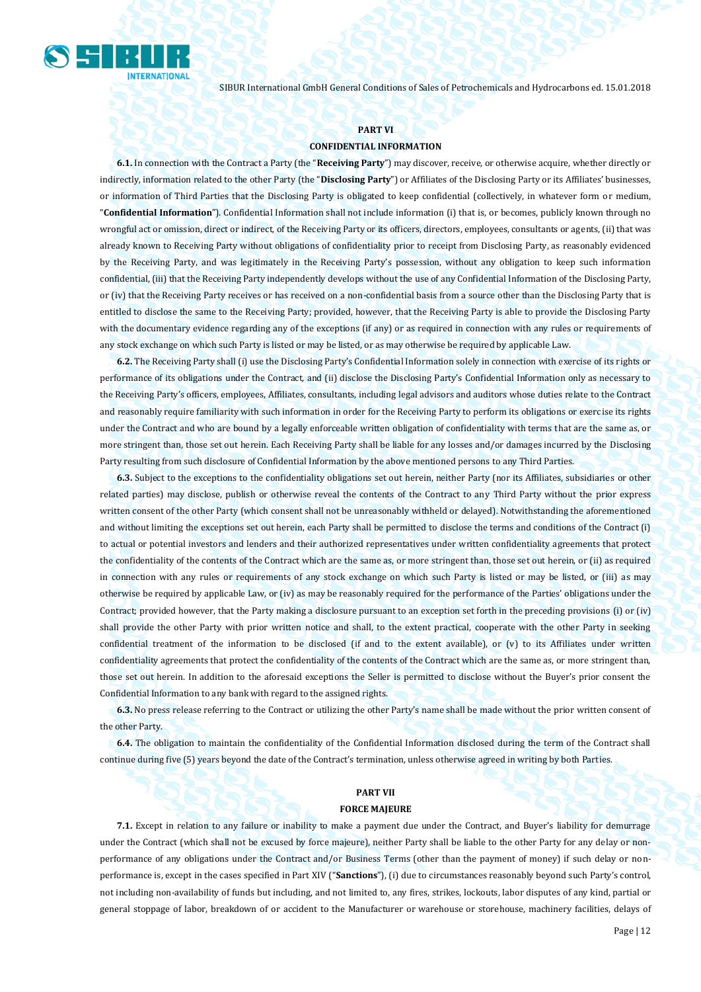

#### **PART VI**

#### **CONFIDENTIAL INFORMATION**

**6.1.** In connection with the Contract a Party (the "**Receiving Party**") may discover, receive, or otherwise acquire, whether directly or indirectly, information related to the other Party (the "**Disclosing Party**") or Affiliates of the Disclosing Party or its Affiliates' businesses, or information of Third Parties that the Disclosing Party is obligated to keep confidential (collectively, in whatever form or medium, "**Confidential Information**"). Confidential Information shall not include information (i) that is, or becomes, publicly known through no wrongful act or omission, direct or indirect, of the Receiving Party or its officers, directors, employees, consultants or agents, (ii) that was already known to Receiving Party without obligations of confidentiality prior to receipt from Disclosing Party, as reasonably evidenced by the Receiving Party, and was legitimately in the Receiving Party's possession, without any obligation to keep such information confidential, (iii) that the Receiving Party independently develops without the use of any Confidential Information of the Disclosing Party, or (iv) that the Receiving Party receives or has received on a non-confidential basis from a source other than the Disclosing Party that is entitled to disclose the same to the Receiving Party; provided, however, that the Receiving Party is able to provide the Disclosing Party with the documentary evidence regarding any of the exceptions (if any) or as required in connection with any rules or requirements of any stock exchange on which such Party is listed or may be listed, or as may otherwise be required by applicable Law.

**6.2.** The Receiving Party shall (i) use the Disclosing Party's Confidential Information solely in connection with exercise of its rights or performance of its obligations under the Contract, and (ii) disclose the Disclosing Party's Confidential Information only as necessary to the Receiving Party's officers, employees, Affiliates, consultants, including legal advisors and auditors whose duties relate to the Contract and reasonably require familiarity with such information in order for the Receiving Party to perform its obligations or exercise its rights under the Contract and who are bound by a legally enforceable written obligation of confidentiality with terms that are the same as, or more stringent than, those set out herein. Each Receiving Party shall be liable for any losses and/or damages incurred by the Disclosing Party resulting from such disclosure of Confidential Information by the above mentioned persons to any Third Parties.

**6.3.** Subject to the exceptions to the confidentiality obligations set out herein, neither Party (nor its Affiliates, subsidiaries or other related parties) may disclose, publish or otherwise reveal the contents of the Contract to any Third Party without the prior express written consent of the other Party (which consent shall not be unreasonably withheld or delayed). Notwithstanding the aforementioned and without limiting the exceptions set out herein, each Party shall be permitted to disclose the terms and conditions of the Contract (i) to actual or potential investors and lenders and their authorized representatives under written confidentiality agreements that protect the confidentiality of the contents of the Contract which are the same as, or more stringent than, those set out herein, or (ii) as required in connection with any rules or requirements of any stock exchange on which such Party is listed or may be listed, or (iii) as may otherwise be required by applicable Law, or (iv) as may be reasonably required for the performance of the Parties' obligations under the Contract; provided however, that the Party making a disclosure pursuant to an exception set forth in the preceding provisions (i) or (iv) shall provide the other Party with prior written notice and shall, to the extent practical, cooperate with the other Party in seeking confidential treatment of the information to be disclosed (if and to the extent available), or (v) to its Affiliates under written confidentiality agreements that protect the confidentiality of the contents of the Contract which are the same as, or more stringent than, those set out herein. In addition to the aforesaid exceptions the Seller is permitted to disclose without the Buyer's prior consent the Confidential Information to any bank with regard to the assigned rights.

**6.3.** No press release referring to the Contract or utilizing the other Party's name shall be made without the prior written consent of the other Party.

**6.4.** The obligation to maintain the confidentiality of the Confidential Information disclosed during the term of the Contract shall continue during five (5) years beyond the date of the Contract's termination, unless otherwise agreed in writing by both Parties.

#### **PART VII**

#### **FORCE MAJEURE**

**7.1.** Except in relation to any failure or inability to make a payment due under the Contract, and Buyer's liability for demurrage under the Contract (which shall not be excused by force majeure), neither Party shall be liable to the other Party for any delay or nonperformance of any obligations under the Contract and/or Business Terms (other than the payment of money) if such delay or nonperformance is, except in the cases specified in Part XIV ("**Sanctions**"), (i) due to circumstances reasonably beyond such Party's control, not including non-availability of funds but including, and not limited to, any fires, strikes, lockouts, labor disputes of any kind, partial or general stoppage of labor, breakdown of or accident to the Manufacturer or warehouse or storehouse, machinery facilities, delays of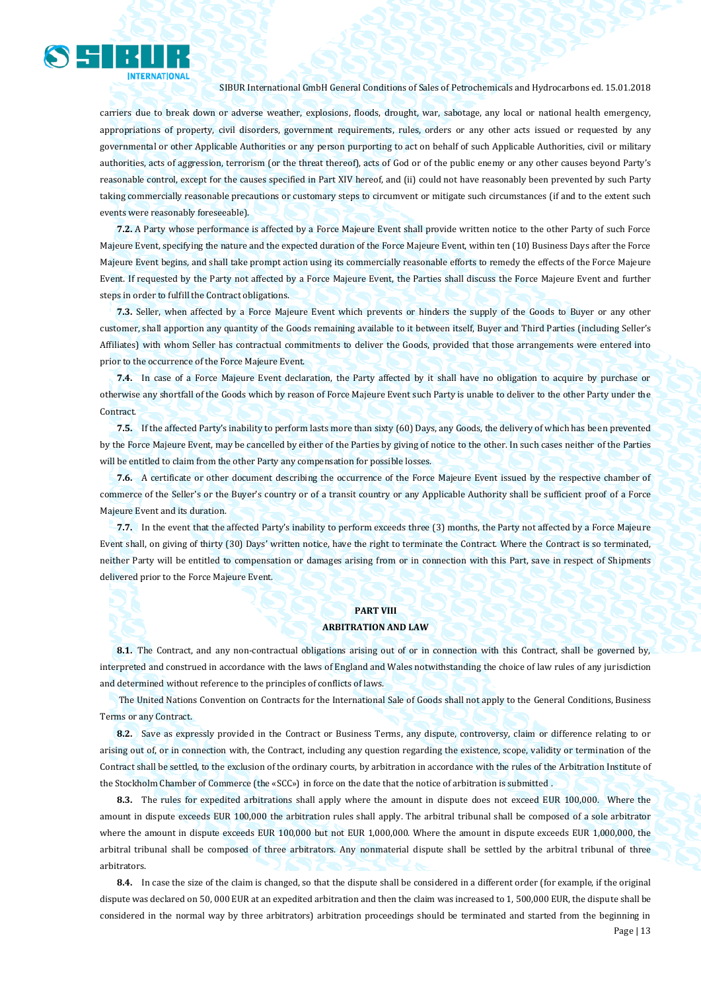

carriers due to break down or adverse weather, explosions, floods, drought, war, sabotage, any local or national health emergency, appropriations of property, civil disorders, government requirements, rules, orders or any other acts issued or requested by any governmental or other Applicable Authorities or any person purporting to act on behalf of such Applicable Authorities, civil or military authorities, acts of aggression, terrorism (or the threat thereof), acts of God or of the public enemy or any other causes beyond Party's reasonable control, except for the causes specified in Part XIV hereof, and (ii) could not have reasonably been prevented by such Party taking commercially reasonable precautions or customary steps to circumvent or mitigate such circumstances (if and to the extent such events were reasonably foreseeable).

**7.2.** A Party whose performance is affected by a Force Majeure Event shall provide written notice to the other Party of such Force Majeure Event, specifying the nature and the expected duration of the Force Majeure Event, within ten (10) Business Days after the Force Majeure Event begins, and shall take prompt action using its commercially reasonable efforts to remedy the effects of the Force Majeure Event. If requested by the Party not affected by a Force Majeure Event, the Parties shall discuss the Force Majeure Event and further steps in order to fulfill the Contract obligations.

**7.3.** Seller, when affected by a Force Majeure Event which prevents or hinders the supply of the Goods to Buyer or any other customer, shall apportion any quantity of the Goods remaining available to it between itself, Buyer and Third Parties (including Seller's Affiliates) with whom Seller has contractual commitments to deliver the Goods, provided that those arrangements were entered into prior to the occurrence of the Force Majeure Event.

**7.4.** In case of a Force Majeure Event declaration, the Party affected by it shall have no obligation to acquire by purchase or otherwise any shortfall of the Goods which by reason of Force Majeure Event such Party is unable to deliver to the other Party under the Contract.

**7.5.** If the affected Party's inability to perform lasts more than sixty (60) Days, any Goods, the delivery of which has been prevented by the Force Majeure Event, may be cancelled by either of the Parties by giving of notice to the other. In such cases neither of the Parties will be entitled to claim from the other Party any compensation for possible losses.

**7.6.** A certificate or other document describing the occurrence of the Force Majeure Event issued by the respective chamber of commerce of the Seller's or the Buyer's country or of a transit country or any Applicable Authority shall be sufficient proof of a Force Majeure Event and its duration.

**7.7.** In the event that the affected Party's inability to perform exceeds three (3) months, the Party not affected by a Force Majeure Event shall, on giving of thirty (30) Days' written notice, have the right to terminate the Contract. Where the Contract is so terminated, neither Party will be entitled to compensation or damages arising from or in connection with this Part, save in respect of Shipments delivered prior to the Force Majeure Event.

### **PART VIII ARBITRATION AND LAW**

**8.1.** The Contract, and any non-contractual obligations arising out of or in connection with this Contract, shall be governed by, interpreted and construed in accordance with the laws of England and Wales notwithstanding the choice of law rules of any jurisdiction and determined without reference to the principles of conflicts of laws.

The United Nations Convention on Contracts for the International Sale of Goods shall not apply to the General Conditions, Business Terms or any Contract.

**8.2.** Save as expressly provided in the Contract or Business Terms, any dispute, controversy, claim or difference relating to or arising out of, or in connection with, the Contract, including any question regarding the existence, scope, validity or termination of the Contract shall be settled, to the exclusion of the ordinary courts, by arbitration in accordance with the rules of the Arbitration Institute of the Stockholm Chamber of Commerce (the «SCC») in force on the date that the notice of arbitration is submitted .

**8.3.** The rules for expedited arbitrations shall apply where the amount in dispute does not exceed EUR 100,000. Where the amount in dispute exceeds EUR 100,000 the arbitration rules shall apply. The arbitral tribunal shall be composed of a sole arbitrator where the amount in dispute exceeds EUR 100,000 but not EUR 1,000,000. Where the amount in dispute exceeds EUR 1,000,000, the arbitral tribunal shall be composed of three arbitrators. Any nonmaterial dispute shall be settled by the arbitral tribunal of three arbitrators.

Page | 13 **8.4.** In case the size of the claim is changed, so that the dispute shall be considered in a different order (for example, if the original dispute was declared on 50, 000 EUR at an expedited arbitration and then the claim was increased to 1, 500,000 EUR, the dispute shall be considered in the normal way by three arbitrators) arbitration proceedings should be terminated and started from the beginning in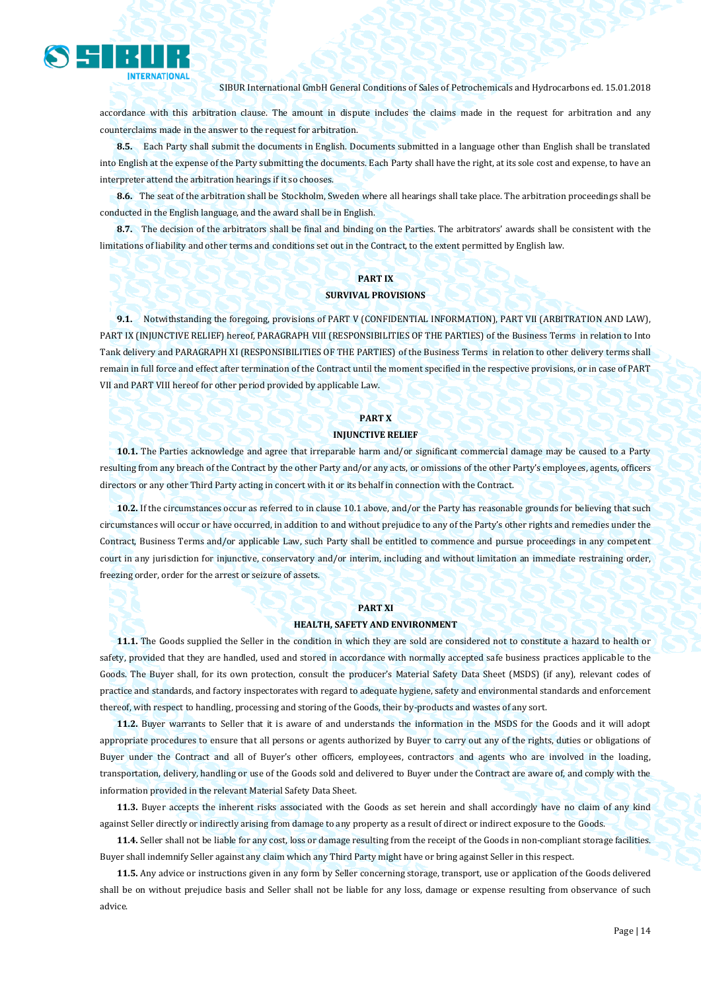

accordance with this arbitration clause. The amount in dispute includes the claims made in the request for arbitration and any counterclaims made in the answer to the request for arbitration.

**8.5.** Each Party shall submit the documents in English. Documents submitted in a language other than English shall be translated into English at the expense of the Party submitting the documents. Each Party shall have the right, at its sole cost and expense, to have an interpreter attend the arbitration hearings if it so chooses.

**8.6.** The seat of the arbitration shall be Stockholm, Sweden where all hearings shall take place. The arbitration proceedings shall be conducted in the English language, and the award shall be in English.

**8.7.** The decision of the arbitrators shall be final and binding on the Parties. The arbitrators' awards shall be consistent with the limitations of liability and other terms and conditions set out in the Contract, to the extent permitted by English law.

## **PART IX**

#### **SURVIVAL PROVISIONS**

**9.1.** Notwithstanding the foregoing, provisions of PART V (CONFIDENTIAL INFORMATION), PART VII (ARBITRATION AND LAW), PART IX (INJUNCTIVE RELIEF) hereof, PARAGRAPH VIII (RESPONSIBILITIES OF THE PARTIES) of the Business Terms in relation to Into Tank delivery and PARAGRAPH XI (RESPONSIBILITIES OF THE PARTIES) of the Business Terms in relation to other delivery terms shall remain in full force and effect after termination of the Contract until the moment specified in the respective provisions, or in case of PART VII and PART VIII hereof for other period provided by applicable Law.

### **PART X**

### **INJUNCTIVE RELIEF**

**10.1.** The Parties acknowledge and agree that irreparable harm and/or significant commercial damage may be caused to a Party resulting from any breach of the Contract by the other Party and/or any acts, or omissions of the other Party's employees, agents, officers directors or any other Third Party acting in concert with it or its behalf in connection with the Contract.

**10.2.** If the circumstances occur as referred to in clause 10.1 above, and/or the Party has reasonable grounds for believing that such circumstances will occur or have occurred, in addition to and without prejudice to any of the Party's other rights and remedies under the Contract, Business Terms and/or applicable Law, such Party shall be entitled to commence and pursue proceedings in any competent court in any jurisdiction for injunctive, conservatory and/or interim, including and without limitation an immediate restraining order, freezing order, order for the arrest or seizure of assets.

#### **PART XI**

#### **HEALTH, SAFETY AND ENVIRONMENT**

**11.1.** The Goods supplied the Seller in the condition in which they are sold are considered not to constitute a hazard to health or safety, provided that they are handled, used and stored in accordance with normally accepted safe business practices applicable to the Goods. The Buyer shall, for its own protection, consult the producer's Material Safety Data Sheet (MSDS) (if any), relevant codes of practice and standards, and factory inspectorates with regard to adequate hygiene, safety and environmental standards and enforcement thereof, with respect to handling, processing and storing of the Goods, their by-products and wastes of any sort.

**11.2.** Buyer warrants to Seller that it is aware of and understands the information in the MSDS for the Goods and it will adopt appropriate procedures to ensure that all persons or agents authorized by Buyer to carry out any of the rights, duties or obligations of Buyer under the Contract and all of Buyer's other officers, employees, contractors and agents who are involved in the loading, transportation, delivery, handling or use of the Goods sold and delivered to Buyer under the Contract are aware of, and comply with the information provided in the relevant Material Safety Data Sheet.

**11.3.** Buyer accepts the inherent risks associated with the Goods as set herein and shall accordingly have no claim of any kind against Seller directly or indirectly arising from damage to any property as a result of direct or indirect exposure to the Goods.

**11.4.** Seller shall not be liable for any cost, loss or damage resulting from the receipt of the Goods in non-compliant storage facilities. Buyer shall indemnify Seller against any claim which any Third Party might have or bring against Seller in this respect.

**11.5.** Any advice or instructions given in any form by Seller concerning storage, transport, use or application of the Goods delivered shall be on without prejudice basis and Seller shall not be liable for any loss, damage or expense resulting from observance of such advice.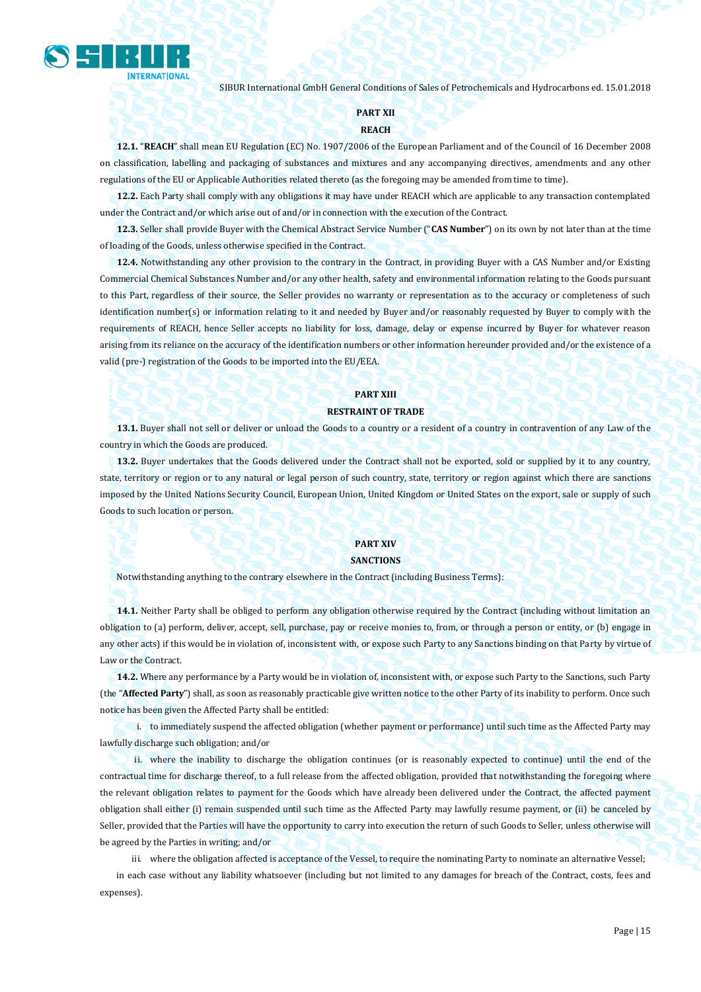

#### **PART XII**

#### **REACH**

**12.1.** "**REACH**" shall mean EU Regulation (EC) No. 1907/2006 of the European Parliament and of the Council of 16 December 2008 on classification, labelling and packaging of substances and mixtures and any accompanying directives, amendments and any other regulations of the EU or Applicable Authorities related thereto (as the foregoing may be amended from time to time).

**12.2.** Each Party shall comply with any obligations it may have under REACH which are applicable to any transaction contemplated under the Contract and/or which arise out of and/or in connection with the execution of the Contract.

**12.3.** Seller shall provide Buyer with the Chemical Abstract Service Number ("**CAS Number**") on its own by not later than at the time of loading of the Goods, unless otherwise specified in the Contract.

**12.4.** Notwithstanding any other provision to the contrary in the Contract, in providing Buyer with a CAS Number and/or Existing Commercial Chemical Substances Number and/or any other health, safety and environmental information relating to the Goods pursuant to this Part, regardless of their source, the Seller provides no warranty or representation as to the accuracy or completeness of such identification number(s) or information relating to it and needed by Buyer and/or reasonably requested by Buyer to comply with the requirements of REACH, hence Seller accepts no liability for loss, damage, delay or expense incurred by Buyer for whatever reason arising from its reliance on the accuracy of the identification numbers or other information hereunder provided and/or the existence of a valid (pre-) registration of the Goods to be imported into the EU/EEA.

#### **PART XIII**

#### **RESTRAINT OF TRADE**

**13.1.** Buyer shall not sell or deliver or unload the Goods to a country or a resident of a country in contravention of any Law of the country in which the Goods are produced.

**13.2.** Buyer undertakes that the Goods delivered under the Contract shall not be exported, sold or supplied by it to any country, state, territory or region or to any natural or legal person of such country, state, territory or region against which there are sanctions imposed by the United Nations Security Council, European Union, United Kingdom or United States on the export, sale or supply of such Goods to such location or person.

## **PART XIV**

## **SANCTIONS**

Notwithstanding anything to the contrary elsewhere in the Contract (including Business Terms):

**14.1.** Neither Party shall be obliged to perform any obligation otherwise required by the Contract (including without limitation an obligation to (a) perform, deliver, accept, sell, purchase, pay or receive monies to, from, or through a person or entity, or (b) engage in any other acts) if this would be in violation of, inconsistent with, or expose such Party to any Sanctions binding on that Party by virtue of Law or the Contract.

**14.2.** Where any performance by a Party would be in violation of, inconsistent with, or expose such Party to the Sanctions, such Party (the "**Affected Party**") shall, as soon as reasonably practicable give written notice to the other Party of its inability to perform. Once such notice has been given the Affected Party shall be entitled:

i. to immediately suspend the affected obligation (whether payment or performance) until such time as the Affected Party may lawfully discharge such obligation; and/or

ii. where the inability to discharge the obligation continues (or is reasonably expected to continue) until the end of the contractual time for discharge thereof, to a full release from the affected obligation, provided that notwithstanding the foregoing where the relevant obligation relates to payment for the Goods which have already been delivered under the Contract, the affected payment obligation shall either (i) remain suspended until such time as the Affected Party may lawfully resume payment, or (ii) be canceled by Seller, provided that the Parties will have the opportunity to carry into execution the return of such Goods to Seller, unless otherwise will be agreed by the Parties in writing; and/or

iii. where the obligation affected is acceptance of the Vessel, to require the nominating Party to nominate an alternative Vessel;

in each case without any liability whatsoever (including but not limited to any damages for breach of the Contract, costs, fees and expenses).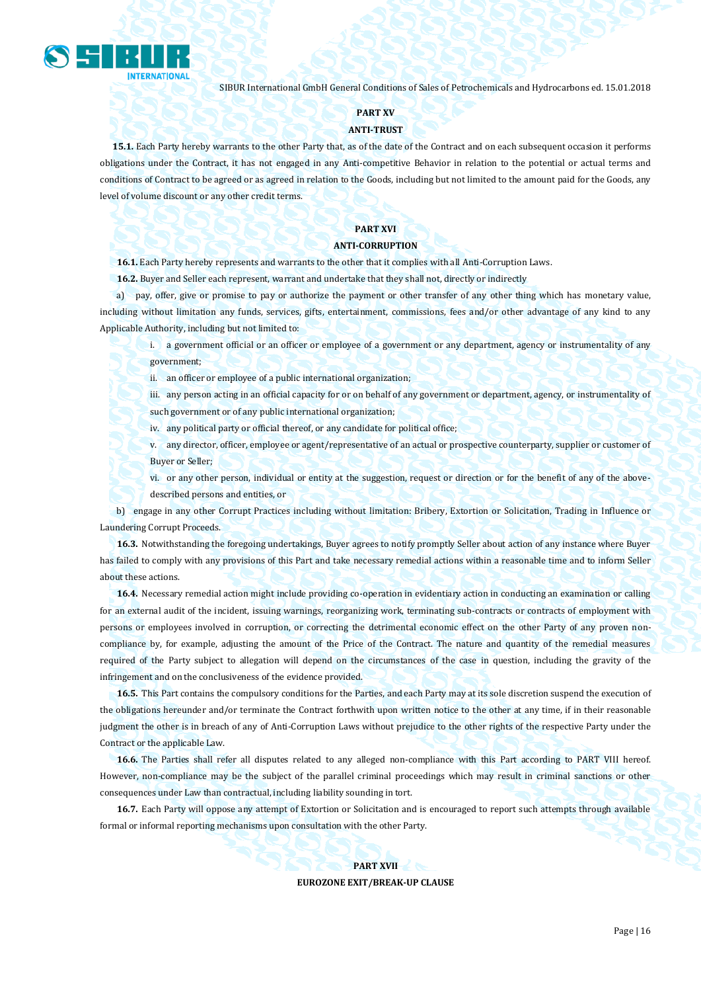

#### **PART XV**

#### **ANTI-TRUST**

**15.1.** Each Party hereby warrants to the other Party that, as of the date of the Contract and on each subsequent occasion it performs obligations under the Contract, it has not engaged in any Anti-competitive Behavior in relation to the potential or actual terms and conditions of Contract to be agreed or as agreed in relation to the Goods, including but not limited to the amount paid for the Goods, any level of volume discount or any other credit terms.

## **PART XVI**

#### **ANTI-CORRUPTION**

**16.1.** Each Party hereby represents and warrants to the other that it complies with all Anti-Corruption Laws.

**16.2.** Buyer and Seller each represent, warrant and undertake that they shall not, directly or indirectly

a) pay, offer, give or promise to pay or authorize the payment or other transfer of any other thing which has monetary value, including without limitation any funds, services, gifts, entertainment, commissions, fees and/or other advantage of any kind to any Applicable Authority, including but not limited to:

i. a government official or an officer or employee of a government or any department, agency or instrumentality of any government;

ii. an officer or employee of a public international organization;

iii. any person acting in an official capacity for or on behalf of any government or department, agency, or instrumentality of such government or of any public international organization;

iv. any political party or official thereof, or any candidate for political office;

v. any director, officer, employee or agent/representative of an actual or prospective counterparty, supplier or customer of Buyer or Seller;

vi. or any other person, individual or entity at the suggestion, request or direction or for the benefit of any of the abovedescribed persons and entities, or

b) engage in any other Corrupt Practices including without limitation: Bribery, Extortion or Solicitation, Trading in Influence or Laundering Corrupt Proceeds.

**16.3.** Notwithstanding the foregoing undertakings, Buyer agrees to notify promptly Seller about action of any instance where Buyer has failed to comply with any provisions of this Part and take necessary remedial actions within a reasonable time and to inform Seller about these actions.

**16.4.** Necessary remedial action might include providing co-operation in evidentiary action in conducting an examination or calling for an external audit of the incident, issuing warnings, reorganizing work, terminating sub-contracts or contracts of employment with persons or employees involved in corruption, or correcting the detrimental economic effect on the other Party of any proven noncompliance by, for example, adjusting the amount of the Price of the Contract. The nature and quantity of the remedial measures required of the Party subject to allegation will depend on the circumstances of the case in question, including the gravity of the infringement and on the conclusiveness of the evidence provided.

**16.5.** This Part contains the compulsory conditions for the Parties, and each Party may at its sole discretion suspend the execution of the obligations hereunder and/or terminate the Contract forthwith upon written notice to the other at any time, if in their reasonable judgment the other is in breach of any of Anti-Corruption Laws without prejudice to the other rights of the respective Party under the Contract or the applicable Law.

**16.6.** The Parties shall refer all disputes related to any alleged non-compliance with this Part according to PART VIII hereof. However, non-compliance may be the subject of the parallel criminal proceedings which may result in criminal sanctions or other consequences under Law than contractual, including liability sounding in tort.

**16.7.** Each Party will oppose any attempt of Extortion or Solicitation and is encouraged to report such attempts through available formal or informal reporting mechanisms upon consultation with the other Party.

**PART XVII**

**EUROZONE EXIT/BREAK-UP CLAUSE**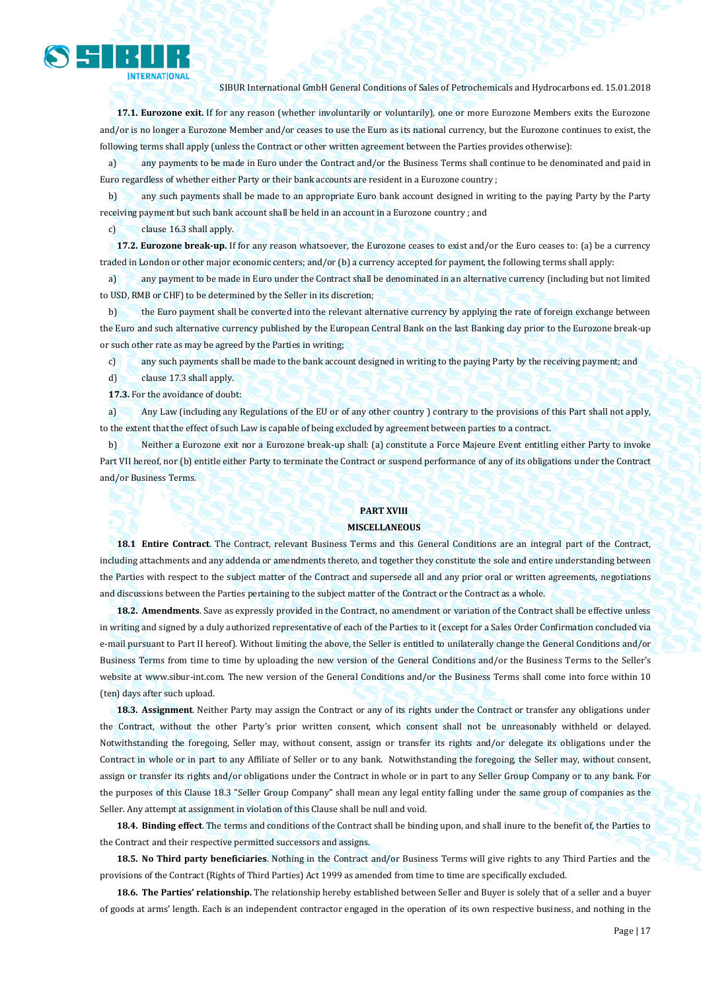

**17.1. Eurozone exit.** If for any reason (whether involuntarily or voluntarily), one or more Eurozone Members exits the Eurozone and/or is no longer a Eurozone Member and/or ceases to use the Euro as its national currency, but the Eurozone continues to exist, the following terms shall apply (unless the Contract or other written agreement between the Parties provides otherwise):

a) any payments to be made in Euro under the Contract and/or the Business Terms shall continue to be denominated and paid in Euro regardless of whether either Party or their bank accounts are resident in a Eurozone country ;

b) any such payments shall be made to an appropriate Euro bank account designed in writing to the paying Party by the Party receiving payment but such bank account shall be held in an account in a Eurozone country ; and

c) clause 16.3 shall apply.

**17.2. Eurozone break-up.** If for any reason whatsoever, the Eurozone ceases to exist and/or the Euro ceases to: (a) be a currency traded in London or other major economic centers; and/or (b) a currency accepted for payment, the following terms shall apply:

a) any payment to be made in Euro under the Contract shall be denominated in an alternative currency (including but not limited to USD, RMB or CHF) to be determined by the Seller in its discretion;

b) the Euro payment shall be converted into the relevant alternative currency by applying the rate of foreign exchange between the Euro and such alternative currency published by the European Central Bank on the last Banking day prior to the Eurozone break-up or such other rate as may be agreed by the Parties in writing;

c) any such payments shall be made to the bank account designed in writing to the paying Party by the receiving payment; and d) clause 17.3 shall apply.

**17.3.** For the avoidance of doubt:

a) Any Law (including any Regulations of the EU or of any other country ) contrary to the provisions of this Part shall not apply, to the extent that the effect of such Law is capable of being excluded by agreement between parties to a contract.

b) Neither a Eurozone exit nor a Eurozone break-up shall: (a) constitute a Force Majeure Event entitling either Party to invoke Part VII hereof, nor (b) entitle either Party to terminate the Contract or suspend performance of any of its obligations under the Contract and/or Business Terms.

## **PART XVIII**

#### **MISCELLANEOUS**

**18.1 Entire Contract**. The Contract, relevant Business Terms and this General Conditions are an integral part of the Contract, including attachments and any addenda or amendments thereto, and together they constitute the sole and entire understanding between the Parties with respect to the subject matter of the Contract and supersede all and any prior oral or written agreements, negotiations and discussions between the Parties pertaining to the subject matter of the Contract or the Contract as a whole.

**18.2. Amendments**. Save as expressly provided in the Contract, no amendment or variation of the Contract shall be effective unless in writing and signed by a duly authorized representative of each of the Parties to it (except for a Sales Order Confirmation concluded via e-mail pursuant to Part II hereof). Without limiting the above, the Seller is entitled to unilaterally change the General Conditions and/or Business Terms from time to time by uploading the new version of the General Conditions and/or the Business Terms to the Seller's website at www.sibur-int.com. The new version of the General Conditions and/or the Business Terms shall come into force within 10 (ten) days after such upload.

**18.3. Assignment**. Neither Party may assign the Contract or any of its rights under the Contract or transfer any obligations under the Contract, without the other Party's prior written consent, which consent shall not be unreasonably withheld or delayed. Notwithstanding the foregoing, Seller may, without consent, assign or transfer its rights and/or delegate its obligations under the Contract in whole or in part to any Affiliate of Seller or to any bank. Notwithstanding the foregoing, the Seller may, without consent, assign or transfer its rights and/or obligations under the Contract in whole or in part to any Seller Group Company or to any bank. For the purposes of this Clause 18.3 "Seller Group Company" shall mean any legal entity falling under the same group of companies as the Seller. Any attempt at assignment in violation of this Clause shall be null and void.

**18.4. Binding effect**. The terms and conditions of the Contract shall be binding upon, and shall inure to the benefit of, the Parties to the Contract and their respective permitted successors and assigns.

**18.5. No Third party beneficiaries**. Nothing in the Contract and/or Business Terms will give rights to any Third Parties and the provisions of the Contract (Rights of Third Parties) Act 1999 as amended from time to time are specifically excluded.

**18.6. The Parties' relationship.** The relationship hereby established between Seller and Buyer is solely that of a seller and a buyer of goods at arms' length. Each is an independent contractor engaged in the operation of its own respective business, and nothing in the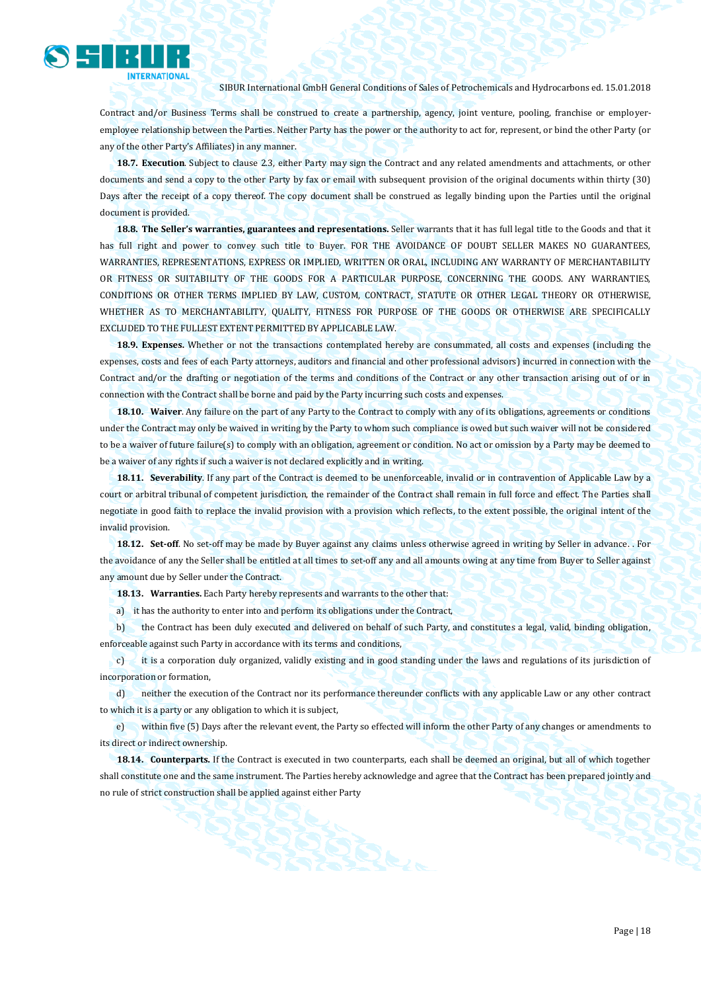

Contract and/or Business Terms shall be construed to create a partnership, agency, joint venture, pooling, franchise or employeremployee relationship between the Parties. Neither Party has the power or the authority to act for, represent, or bind the other Party (or any of the other Party's Affiliates) in any manner.

**18.7. Execution**. Subject to clause 2.3, either Party may sign the Contract and any related amendments and attachments, or other documents and send a copy to the other Party by fax or email with subsequent provision of the original documents within thirty (30) Days after the receipt of a copy thereof. The copy document shall be construed as legally binding upon the Parties until the original document is provided.

**18.8. The Seller's warranties, guarantees and representations.** Seller warrants that it has full legal title to the Goods and that it has full right and power to convey such title to Buyer. FOR THE AVOIDANCE OF DOUBT SELLER MAKES NO GUARANTEES, WARRANTIES, REPRESENTATIONS, EXPRESS OR IMPLIED, WRITTEN OR ORAL, INCLUDING ANY WARRANTY OF MERCHANTABILITY OR FITNESS OR SUITABILITY OF THE GOODS FOR A PARTICULAR PURPOSE, CONCERNING THE GOODS. ANY WARRANTIES, CONDITIONS OR OTHER TERMS IMPLIED BY LAW, CUSTOM, CONTRACT, STATUTE OR OTHER LEGAL THEORY OR OTHERWISE, WHETHER AS TO MERCHANTABILITY, QUALITY, FITNESS FOR PURPOSE OF THE GOODS OR OTHERWISE ARE SPECIFICALLY EXCLUDED TO THE FULLEST EXTENT PERMITTED BY APPLICABLE LAW.

**18.9. Expenses.** Whether or not the transactions contemplated hereby are consummated, all costs and expenses (including the expenses, costs and fees of each Party attorneys, auditors and financial and other professional advisors) incurred in connection with the Contract and/or the drafting or negotiation of the terms and conditions of the Contract or any other transaction arising out of or in connection with the Contract shall be borne and paid by the Party incurring such costs and expenses.

**18.10. Waiver**. Any failure on the part of any Party to the Contract to comply with any of its obligations, agreements or conditions under the Contract may only be waived in writing by the Party to whom such compliance is owed but such waiver will not be considered to be a waiver of future failure(s) to comply with an obligation, agreement or condition. No act or omission by a Party may be deemed to be a waiver of any rights if such a waiver is not declared explicitly and in writing.

**18.11. Severability**. If any part of the Contract is deemed to be unenforceable, invalid or in contravention of Applicable Law by a court or arbitral tribunal of competent jurisdiction, the remainder of the Contract shall remain in full force and effect. The Parties shall negotiate in good faith to replace the invalid provision with a provision which reflects, to the extent possible, the original intent of the invalid provision.

**18.12. Set-off**. No set-off may be made by Buyer against any claims unless otherwise agreed in writing by Seller in advance. . For the avoidance of any the Seller shall be entitled at all times to set-off any and all amounts owing at any time from Buyer to Seller against any amount due by Seller under the Contract.

**18.13. Warranties.** Each Party hereby represents and warrants to the other that:

a) it has the authority to enter into and perform its obligations under the Contract,

b) the Contract has been duly executed and delivered on behalf of such Party, and constitutes a legal, valid, binding obligation, enforceable against such Party in accordance with its terms and conditions,

c) it is a corporation duly organized, validly existing and in good standing under the laws and regulations of its jurisdiction of incorporation or formation,

d) neither the execution of the Contract nor its performance thereunder conflicts with any applicable Law or any other contract to which it is a party or any obligation to which it is subject,

e) within five (5) Days after the relevant event, the Party so effected will inform the other Party of any changes or amendments to its direct or indirect ownership.

**18.14. Counterparts.** If the Contract is executed in two counterparts, each shall be deemed an original, but all of which together shall constitute one and the same instrument. The Parties hereby acknowledge and agree that the Contract has been prepared jointly and no rule of strict construction shall be applied against either Party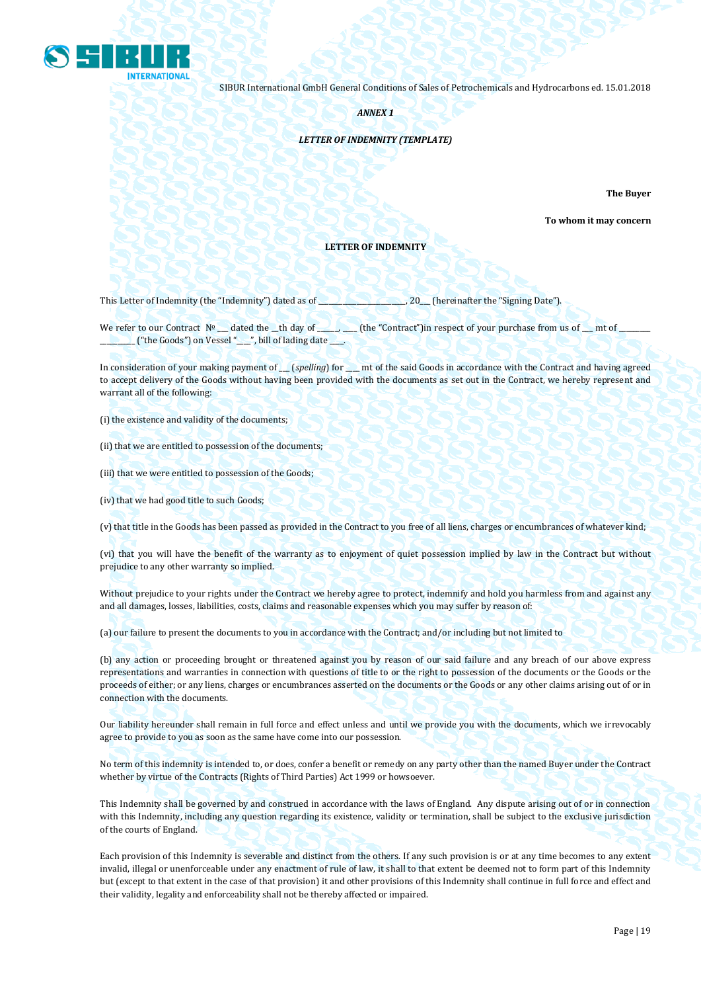

*ANNEX 1*

#### *LETTER OF INDEMNITY (TEMPLATE)*

**The Buyer** 

**To whom it may concern**

#### **LETTER OF INDEMNITY**

This Letter of Indemnity (the "Indemnity") dated as of \_\_\_\_\_\_\_\_\_\_\_\_\_\_\_\_\_\_\_\_\_\_\_\_\_, 20\_\_\_ (hereinafter the "Signing Date").

We refer to our Contract Nº \_\_ dated the \_th day of \_\_\_\_\_\_\_\_ (the "Contract")in respect of your purchase from us of \_\_\_ mt of \_  $($  "the Goods") on Vessel " $\_\$ ", bill of lading date  $\_\_$ .

In consideration of your making payment of *\_\_\_ (spelling*) for \_\_\_\_ mt of the said Goods in accordance with the Contract and having agreed to accept delivery of the Goods without having been provided with the documents as set out in the Contract, we hereby represent and warrant all of the following:

(i) the existence and validity of the documents;

(ii) that we are entitled to possession of the documents;

(iii) that we were entitled to possession of the Goods;

(iv) that we had good title to such Goods;

(v) that title in the Goods has been passed as provided in the Contract to you free of all liens, charges or encumbrances of whatever kind;

(vi) that you will have the benefit of the warranty as to enjoyment of quiet possession implied by law in the Contract but without prejudice to any other warranty so implied.

Without prejudice to your rights under the Contract we hereby agree to protect, indemnify and hold you harmless from and against any and all damages, losses, liabilities, costs, claims and reasonable expenses which you may suffer by reason of:

(a) our failure to present the documents to you in accordance with the Contract; and/or including but not limited to

(b) any action or proceeding brought or threatened against you by reason of our said failure and any breach of our above express representations and warranties in connection with questions of title to or the right to possession of the documents or the Goods or the proceeds of either; or any liens, charges or encumbrances asserted on the documents or the Goods or any other claims arising out of or in connection with the documents.

Our liability hereunder shall remain in full force and effect unless and until we provide you with the documents, which we irrevocably agree to provide to you as soon as the same have come into our possession.

No term of this indemnity is intended to, or does, confer a benefit or remedy on any party other than the named Buyer under the Contract whether by virtue of the Contracts (Rights of Third Parties) Act 1999 or howsoever.

This Indemnity shall be governed by and construed in accordance with the laws of England. Any dispute arising out of or in connection with this Indemnity, including any question regarding its existence, validity or termination, shall be subject to the exclusive jurisdiction of the courts of England.

Each provision of this Indemnity is severable and distinct from the others. If any such provision is or at any time becomes to any extent invalid, illegal or unenforceable under any enactment of rule of law, it shall to that extent be deemed not to form part of this Indemnity but (except to that extent in the case of that provision) it and other provisions of this Indemnity shall continue in full force and effect and their validity, legality and enforceability shall not be thereby affected or impaired.